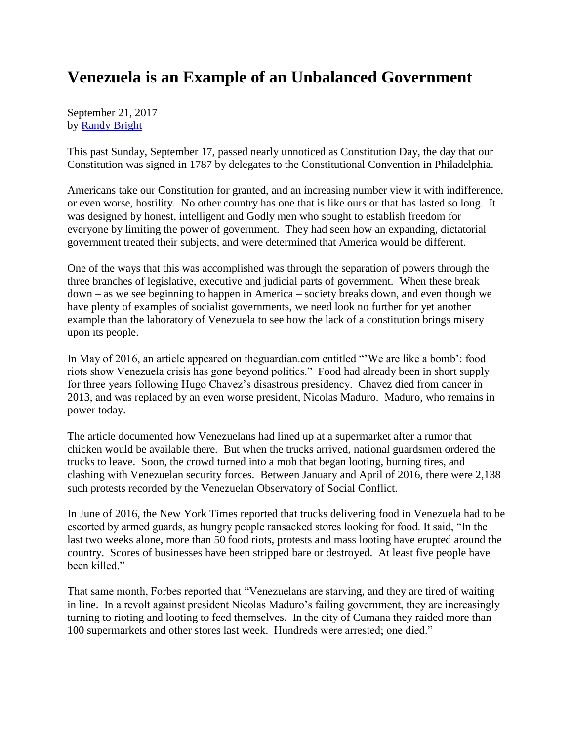## **Venezuela is an Example of an Unbalanced Government**

September 21, 2017 by [Randy Bright](http://tulsabeacon.com/writers/randy-bright/)

This past Sunday, September 17, passed nearly unnoticed as Constitution Day, the day that our Constitution was signed in 1787 by delegates to the Constitutional Convention in Philadelphia.

Americans take our Constitution for granted, and an increasing number view it with indifference, or even worse, hostility. No other country has one that is like ours or that has lasted so long. It was designed by honest, intelligent and Godly men who sought to establish freedom for everyone by limiting the power of government. They had seen how an expanding, dictatorial government treated their subjects, and were determined that America would be different.

One of the ways that this was accomplished was through the separation of powers through the three branches of legislative, executive and judicial parts of government. When these break down – as we see beginning to happen in America – society breaks down, and even though we have plenty of examples of socialist governments, we need look no further for yet another example than the laboratory of Venezuela to see how the lack of a constitution brings misery upon its people.

In May of 2016, an article appeared on theguardian.com entitled "'We are like a bomb': food riots show Venezuela crisis has gone beyond politics." Food had already been in short supply for three years following Hugo Chavez's disastrous presidency. Chavez died from cancer in 2013, and was replaced by an even worse president, Nicolas Maduro. Maduro, who remains in power today.

The article documented how Venezuelans had lined up at a supermarket after a rumor that chicken would be available there. But when the trucks arrived, national guardsmen ordered the trucks to leave. Soon, the crowd turned into a mob that began looting, burning tires, and clashing with Venezuelan security forces. Between January and April of 2016, there were 2,138 such protests recorded by the Venezuelan Observatory of Social Conflict.

In June of 2016, the New York Times reported that trucks delivering food in Venezuela had to be escorted by armed guards, as hungry people ransacked stores looking for food. It said, "In the last two weeks alone, more than 50 food riots, protests and mass looting have erupted around the country. Scores of businesses have been stripped bare or destroyed. At least five people have been killed."

That same month, Forbes reported that "Venezuelans are starving, and they are tired of waiting in line. In a revolt against president Nicolas Maduro's failing government, they are increasingly turning to rioting and looting to feed themselves. In the city of Cumana they raided more than 100 supermarkets and other stores last week. Hundreds were arrested; one died."